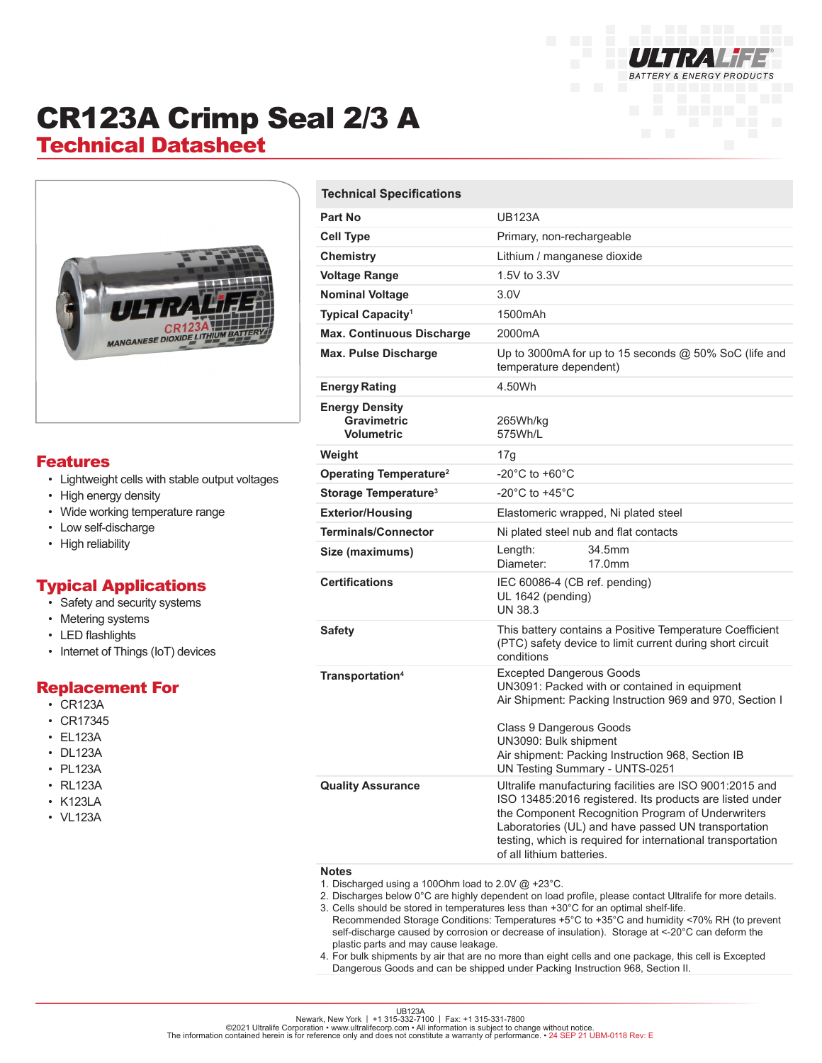

# CR123A Crimp Seal 2/3 A

## Technical Datasheet



#### Features

- Lightweight cells with stable output voltages
- High energy density
- Wide working temperature range
- Low self-discharge
- High reliability

### Typical Applications

- Safety and security systems
- Metering systems
- LED flashlights
- Internet of Things (IoT) devices

#### Replacement For

- CR123A
- CR17345
- EL123A
- DL123A
- PL123A
- RL123A
- K123LA
- VL123A

| <b>Technical Specifications</b>                                  |                                                                                                                                                                                                                                                                                                                              |
|------------------------------------------------------------------|------------------------------------------------------------------------------------------------------------------------------------------------------------------------------------------------------------------------------------------------------------------------------------------------------------------------------|
| Part No                                                          | <b>UB123A</b>                                                                                                                                                                                                                                                                                                                |
| <b>Cell Type</b>                                                 | Primary, non-rechargeable                                                                                                                                                                                                                                                                                                    |
| Chemistry                                                        | Lithium / manganese dioxide                                                                                                                                                                                                                                                                                                  |
| <b>Voltage Range</b>                                             | 1.5V to 3.3V                                                                                                                                                                                                                                                                                                                 |
| <b>Nominal Voltage</b>                                           | 3.0V                                                                                                                                                                                                                                                                                                                         |
| Typical Capacity <sup>1</sup>                                    | 1500mAh                                                                                                                                                                                                                                                                                                                      |
| <b>Max. Continuous Discharge</b>                                 | 2000mA                                                                                                                                                                                                                                                                                                                       |
| <b>Max. Pulse Discharge</b>                                      | Up to 3000mA for up to 15 seconds $@$ 50% SoC (life and<br>temperature dependent)                                                                                                                                                                                                                                            |
| <b>Energy Rating</b>                                             | 4.50Wh                                                                                                                                                                                                                                                                                                                       |
| <b>Energy Density</b><br><b>Gravimetric</b><br><b>Volumetric</b> | 265Wh/kg<br>575Wh/L                                                                                                                                                                                                                                                                                                          |
| Weight                                                           | 17g                                                                                                                                                                                                                                                                                                                          |
| Operating Temperature <sup>2</sup>                               | $-20^{\circ}$ C to $+60^{\circ}$ C                                                                                                                                                                                                                                                                                           |
| Storage Temperature <sup>3</sup>                                 | -20 $^{\circ}$ C to +45 $^{\circ}$ C                                                                                                                                                                                                                                                                                         |
| <b>Exterior/Housing</b>                                          | Elastomeric wrapped, Ni plated steel                                                                                                                                                                                                                                                                                         |
| <b>Terminals/Connector</b>                                       | Ni plated steel nub and flat contacts                                                                                                                                                                                                                                                                                        |
| Size (maximums)                                                  | Length:<br>34.5mm<br>Diameter:<br>17.0mm                                                                                                                                                                                                                                                                                     |
| <b>Certifications</b>                                            | IEC 60086-4 (CB ref. pending)<br>UL 1642 (pending)<br><b>UN 38.3</b>                                                                                                                                                                                                                                                         |
| <b>Safety</b>                                                    | This battery contains a Positive Temperature Coefficient<br>(PTC) safety device to limit current during short circuit<br>conditions                                                                                                                                                                                          |
| Transportation <sup>4</sup>                                      | <b>Excepted Dangerous Goods</b><br>UN3091: Packed with or contained in equipment<br>Air Shipment: Packing Instruction 969 and 970, Section I<br>Class 9 Dangerous Goods<br>UN3090: Bulk shipment<br>Air shipment: Packing Instruction 968, Section IB<br>UN Testing Summary - UNTS-0251                                      |
| <b>Quality Assurance</b>                                         | Ultralife manufacturing facilities are ISO 9001:2015 and<br>ISO 13485:2016 registered. Its products are listed under<br>the Component Recognition Program of Underwriters<br>Laboratories (UL) and have passed UN transportation<br>testing, which is required for international transportation<br>of all lithium batteries. |

#### **Notes**

- 1. Discharged using a 100Ohm load to 2.0V @ +23°C.
- 2. Discharges below 0°C are highly dependent on load profile, please contact Ultralife for more details. 3. Cells should be stored in temperatures less than +30°C for an optimal shelf-life.
- Recommended Storage Conditions: Temperatures +5°C to +35°C and humidity <70% RH (to prevent self-discharge caused by corrosion or decrease of insulation). Storage at <-20°C can deform the plastic parts and may cause leakage.
- 4. For bulk shipments by air that are no more than eight cells and one package, this cell is Excepted Dangerous Goods and can be shipped under Packing Instruction 968, Section II.